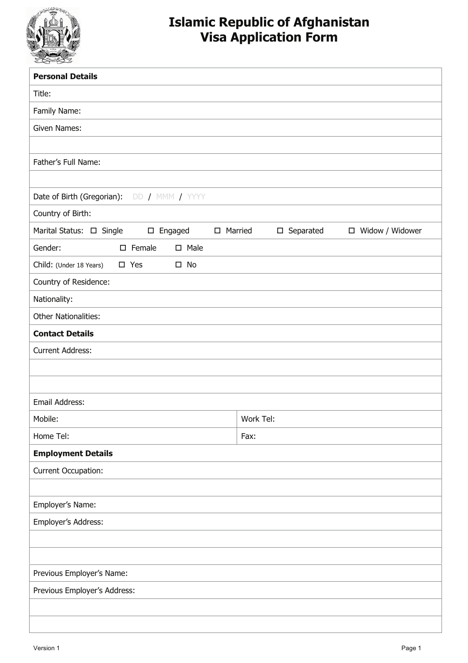

## **Islamic Republic of Afghanistan Visa Application Form**

| <b>Personal Details</b>                                    |                                          |  |
|------------------------------------------------------------|------------------------------------------|--|
| Title:                                                     |                                          |  |
| Family Name:                                               |                                          |  |
| Given Names:                                               |                                          |  |
|                                                            |                                          |  |
| Father's Full Name:                                        |                                          |  |
|                                                            |                                          |  |
| Date of Birth (Gregorian):<br>DD / MMM / YYYY              |                                          |  |
| Country of Birth:                                          |                                          |  |
| Marital Status: □ Single<br>$\square$ Engaged<br>□ Married | □ Widow / Widower<br>$\square$ Separated |  |
| Gender:<br>$\square$ Female<br>$\square$ Male              |                                          |  |
| Child: (Under 18 Years)<br>$\square$ Yes<br>$\square$ No   |                                          |  |
| Country of Residence:                                      |                                          |  |
| Nationality:                                               |                                          |  |
| <b>Other Nationalities:</b>                                |                                          |  |
| <b>Contact Details</b>                                     |                                          |  |
| <b>Current Address:</b>                                    |                                          |  |
|                                                            |                                          |  |
|                                                            |                                          |  |
| Email Address:                                             |                                          |  |
| Mobile:                                                    | Work Tel:                                |  |
| Home Tel:                                                  | Fax:                                     |  |
| <b>Employment Details</b>                                  |                                          |  |
| Current Occupation:                                        |                                          |  |
|                                                            |                                          |  |
| Employer's Name:                                           |                                          |  |
| Employer's Address:                                        |                                          |  |
|                                                            |                                          |  |
|                                                            |                                          |  |
| Previous Employer's Name:                                  |                                          |  |
| Previous Employer's Address:                               |                                          |  |
|                                                            |                                          |  |
|                                                            |                                          |  |